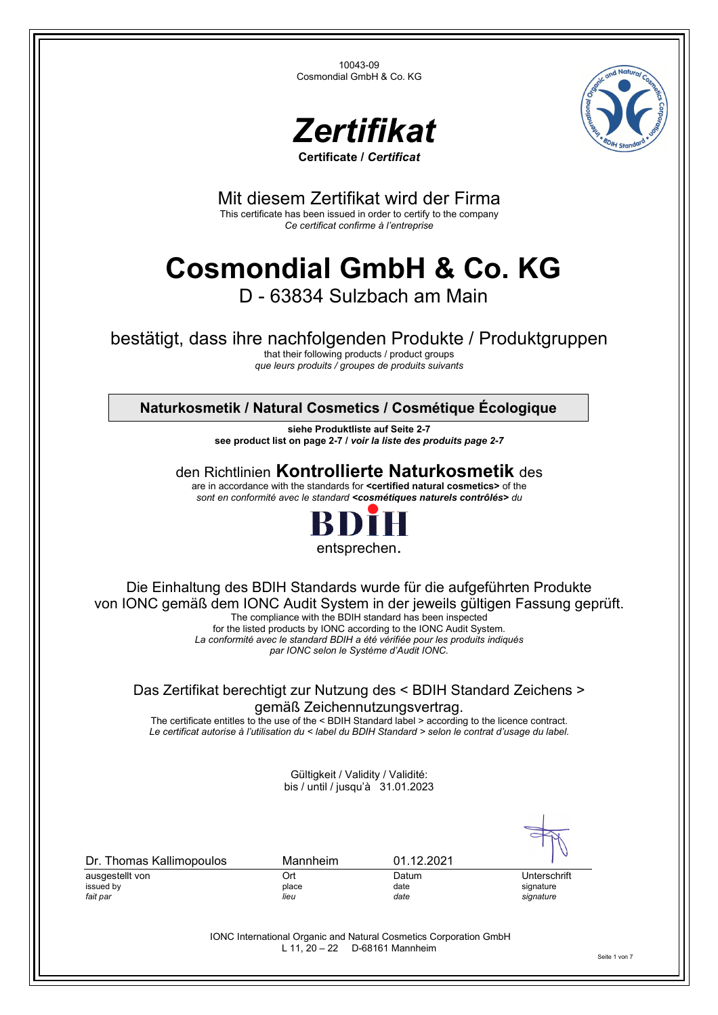



Mit diesem Zertifikat wird der Firma This certificate has been issued in order to certify to the company *Ce certificat confirme à l'entreprise*

# **Cosmondial GmbH & Co. KG**

D - 63834 Sulzbach am Main

# bestätigt, dass ihre nachfolgenden Produkte / Produktgruppen

that their following products / product groups *que leurs produits / groupes de produits suivants*

**Naturkosmetik / Natural Cosmetics / Cosmétique Écologique** 

**siehe Produktliste auf Seite 2-7 see product list on page 2-7 /** *voir la liste des produits page 2-7*

den Richtlinien **Kontrollierte Naturkosmetik** des

are in accordance with the standards for **<certified natural cosmetics>** of the *sont en conformité avec le standard <cosmétiques naturels contrôlés> du*



Die Einhaltung des BDIH Standards wurde für die aufgeführten Produkte von IONC gemäß dem IONC Audit System in der jeweils gültigen Fassung geprüft.

The compliance with the BDIH standard has been inspected

for the listed products by IONC according to the IONC Audit System. *La conformité avec le standard BDIH a été vérifiée pour les produits indiqués par IONC selon le Système d'Audit IONC.* 

# Das Zertifikat berechtigt zur Nutzung des < BDIH Standard Zeichens > gemäß Zeichennutzungsvertrag.

The certificate entitles to the use of the < BDIH Standard label > according to the licence contract. *Le certificat autorise à l'utilisation du < label du BDIH Standard > selon le contrat d'usage du label.* 

> Gültigkeit / Validity / Validité: bis / until / jusqu'à 31.01.2023

| Dr. Thomas Kallimopoulos | Mannheim | 01.12.2021 |              |
|--------------------------|----------|------------|--------------|
| ausgestellt von          | Ort      | Datum      | Unterschrift |
| issued by                | place    | date       | signature    |
| fait par                 | lieu     | date       | signature    |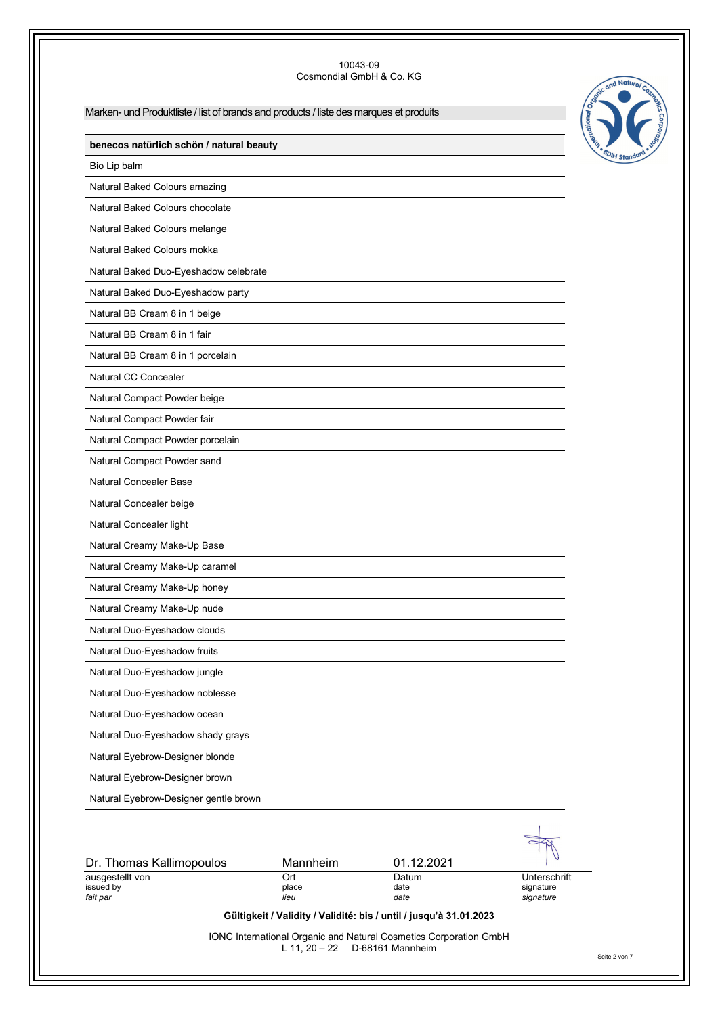# Marken- und Produktliste / list of brands and products / liste des marques et produits



## **benecos natürlich schön / natural beauty**

Bio Lip balm

Natural Baked Colours amazing

Natural Baked Colours chocolate

Natural Baked Colours melange

Natural Baked Colours mokka

Natural Baked Duo-Eyeshadow celebrate

Natural Baked Duo-Eyeshadow party

Natural BB Cream 8 in 1 beige Natural BB Cream 8 in 1 fair

Natural BB Cream 8 in 1 porcelain

Natural CC Concealer

Natural Compact Powder beige

Natural Compact Powder fair

Natural Compact Powder porcelain

Natural Compact Powder sand

Natural Concealer Base

Natural Concealer beige

Natural Concealer light

Natural Creamy Make-Up Base

Natural Creamy Make-Up caramel Natural Creamy Make-Up honey

Natural Creamy Make-Up nude

Natural Duo-Eyeshadow clouds

Natural Duo-Eyeshadow fruits

Natural Duo-Eyeshadow jungle

Natural Duo-Eyeshadow noblesse

Natural Duo-Eyeshadow ocean

Natural Duo-Eyeshadow shady grays

Natural Eyebrow-Designer blonde

Natural Eyebrow-Designer brown

Natural Eyebrow-Designer gentle brown

| Dr. Thomas Kallimopoulos | Mannheim                         | 01.12.2021                                                         |              |
|--------------------------|----------------------------------|--------------------------------------------------------------------|--------------|
| ausgestellt von          | Ort                              | Datum                                                              | Unterschrift |
| issued by                | place                            | date                                                               | signature    |
| fait par                 | lieu                             | date                                                               | signature    |
|                          |                                  | Gültigkeit / Validity / Validité: bis / until / jusqu'à 31.01.2023 |              |
|                          | L 11, $20 - 22$ D-68161 Mannheim | IONC International Organic and Natural Cosmetics Corporation GmbH  |              |

Seite 2 von 7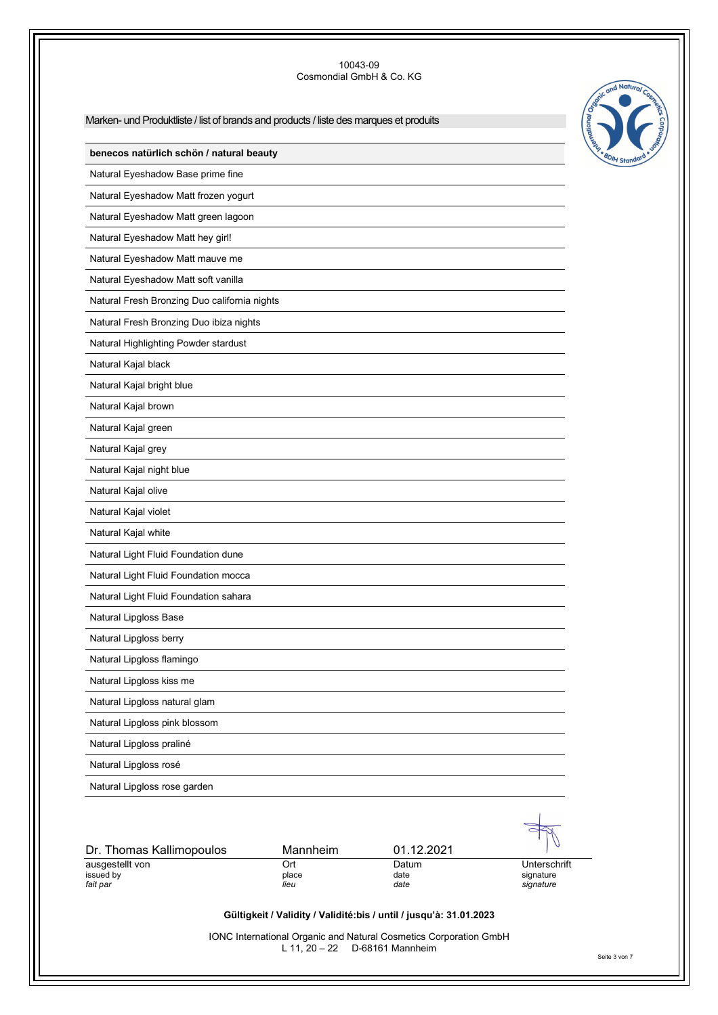Marken- und Produktliste / list of brands and products / liste des marques et produits



# **benecos natürlich schön / natural beauty**

Natural Eyeshadow Base prime fine

Natural Eyeshadow Matt frozen yogurt

Natural Eyeshadow Matt green lagoon

Natural Eyeshadow Matt hey girl!

Natural Eyeshadow Matt mauve me

Natural Eyeshadow Matt soft vanilla

Natural Fresh Bronzing Duo california nights

Natural Fresh Bronzing Duo ibiza nights

Natural Highlighting Powder stardust

Natural Kajal black

Natural Kajal bright blue

Natural Kajal brown

Natural Kajal green

Natural Kajal grey

Natural Kajal night blue

Natural Kajal olive

Natural Kajal violet

Natural Kajal white

Natural Light Fluid Foundation dune

Natural Light Fluid Foundation mocca

Natural Light Fluid Foundation sahara

Natural Lipgloss Base

Natural Lipgloss berry

Natural Lipgloss flamingo

Natural Lipgloss kiss me

Natural Lipgloss natural glam

Natural Lipgloss pink blossom

Natural Lipgloss praliné

Natural Lipgloss rosé

Natural Lipgloss rose garden

| Dr. Thomas Kallimopoulos | Mannheim | 01.12.2021 |              |
|--------------------------|----------|------------|--------------|
| ausgestellt von          | Ort      | Datum      | Unterschrift |
| issued by                | place    | date       | signature    |
| fait par                 | lieu     | date       | signature    |

# **Gültigkeit / Validity / Validité:bis / until / jusqu'à: 31.01.2023**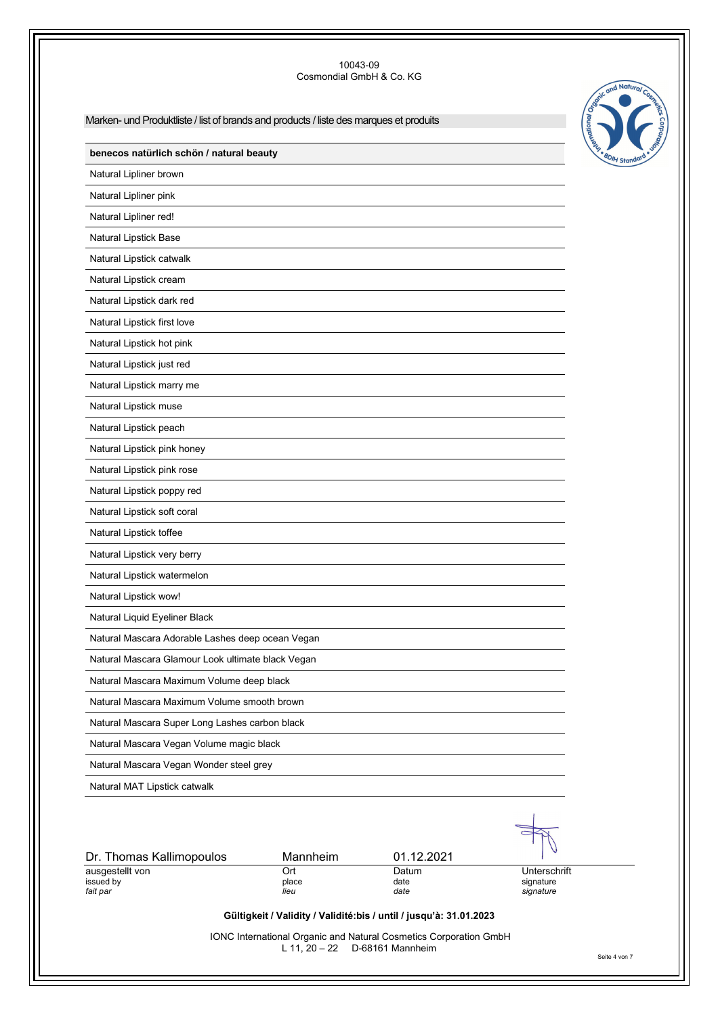# Marken- und Produktliste / list of brands and products / liste des marques et produits



# **benecos natürlich schön / natural beauty**

Natural Lipliner brown

Natural Lipliner pink Natural Lipliner red!

Natural Lipstick Base

Natural Lipstick catwalk

Natural Lipstick cream

Natural Lipstick dark red

Natural Lipstick first love

Natural Lipstick hot pink Natural Lipstick just red

Natural Lipstick marry me

Natural Lipstick muse

Natural Lipstick peach

Natural Lipstick pink honey

Natural Lipstick pink rose

Natural Lipstick poppy red

Natural Lipstick soft coral

Natural Lipstick toffee

Natural Lipstick very berry

Natural Lipstick watermelon

Natural Lipstick wow!

Natural Liquid Eyeliner Black

Natural Mascara Adorable Lashes deep ocean Vegan

Natural Mascara Glamour Look ultimate black Vegan

Natural Mascara Maximum Volume deep black

Natural Mascara Maximum Volume smooth brown

Natural Mascara Super Long Lashes carbon black

Natural Mascara Vegan Volume magic black

Natural Mascara Vegan Wonder steel grey

Natural MAT Lipstick catwalk

| Dr. Thomas Kallimopoulos | <b>Mannheim</b> | 01.12.2021 |              |
|--------------------------|-----------------|------------|--------------|
| ausgestellt von          | Ort             | Datum      | Unterschrift |
| issued by                | place           | date       | signature    |
| fait par                 | lieu            | date       | signature    |
|                          |                 |            |              |

# **Gültigkeit / Validity / Validité:bis / until / jusqu'à: 31.01.2023**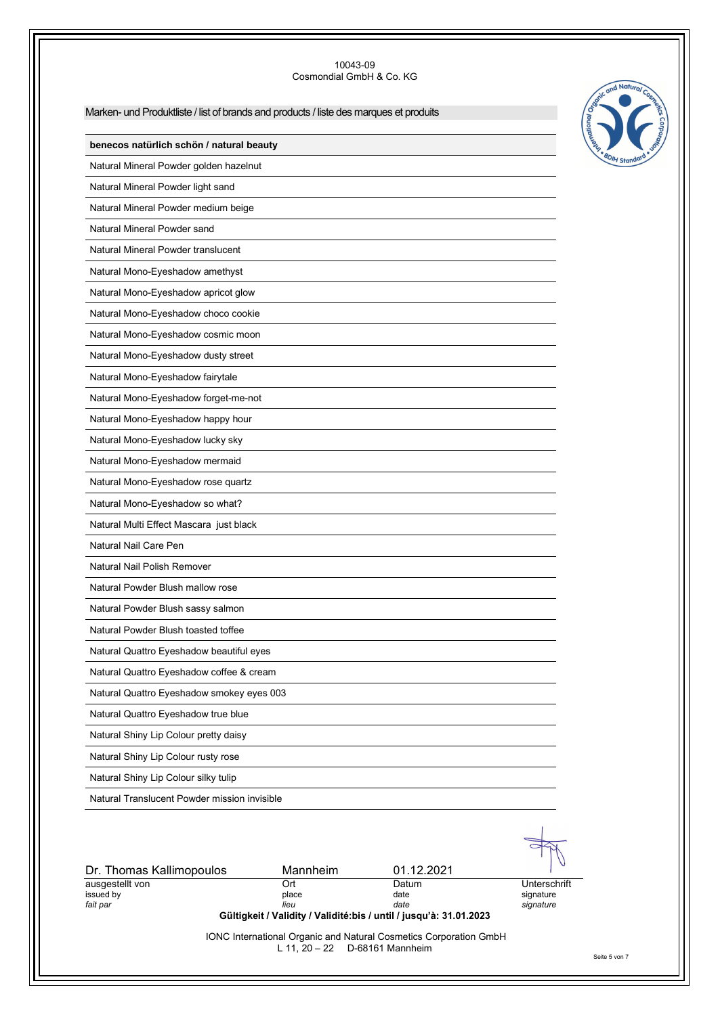# Marken- und Produktliste / list of brands and products / liste des marques et produits



# **benecos natürlich schön / natural beauty**

Natural Mineral Powder golden hazelnut

Natural Mineral Powder light sand Natural Mineral Powder medium beige

Natural Mineral Powder sand

Natural Mineral Powder translucent

Natural Mono-Eyeshadow amethyst

Natural Mono-Eyeshadow apricot glow

Natural Mono-Eyeshadow choco cookie

Natural Mono-Eyeshadow cosmic moon Natural Mono-Eyeshadow dusty street

Natural Mono-Eyeshadow fairytale

Natural Mono-Eyeshadow forget-me-not

Natural Mono-Eyeshadow happy hour

Natural Mono-Eyeshadow lucky sky

Natural Mono-Eyeshadow mermaid

Natural Mono-Eyeshadow rose quartz

Natural Mono-Eyeshadow so what?

Natural Multi Effect Mascara just black

Natural Nail Care Pen

Natural Nail Polish Remover

Natural Powder Blush mallow rose

Natural Powder Blush sassy salmon

Natural Powder Blush toasted toffee

Natural Quattro Eyeshadow beautiful eyes

Natural Quattro Eyeshadow coffee & cream

Natural Quattro Eyeshadow smokey eyes 003

Natural Quattro Eyeshadow true blue

Natural Shiny Lip Colour pretty daisy

Natural Shiny Lip Colour rusty rose

Natural Shiny Lip Colour silky tulip

Natural Translucent Powder mission invisible

| Dr. Thomas Kallimopoulos | Mannheim                         | 01.12.2021                                                               |              |
|--------------------------|----------------------------------|--------------------------------------------------------------------------|--------------|
| ausgestellt von          | Ort                              | Datum                                                                    | Unterschrift |
| issued by                | place                            | date                                                                     | signature    |
| fait par                 | lieu                             | date                                                                     | signature    |
|                          |                                  | Gültigkeit / Validity / Validité: bis / until / jusqu'à: 31.01.2023      |              |
|                          | L 11, $20 - 22$ D-68161 Mannheim | <b>IONC International Organic and Natural Cosmetics Corporation GmbH</b> |              |

Seite 5 von 7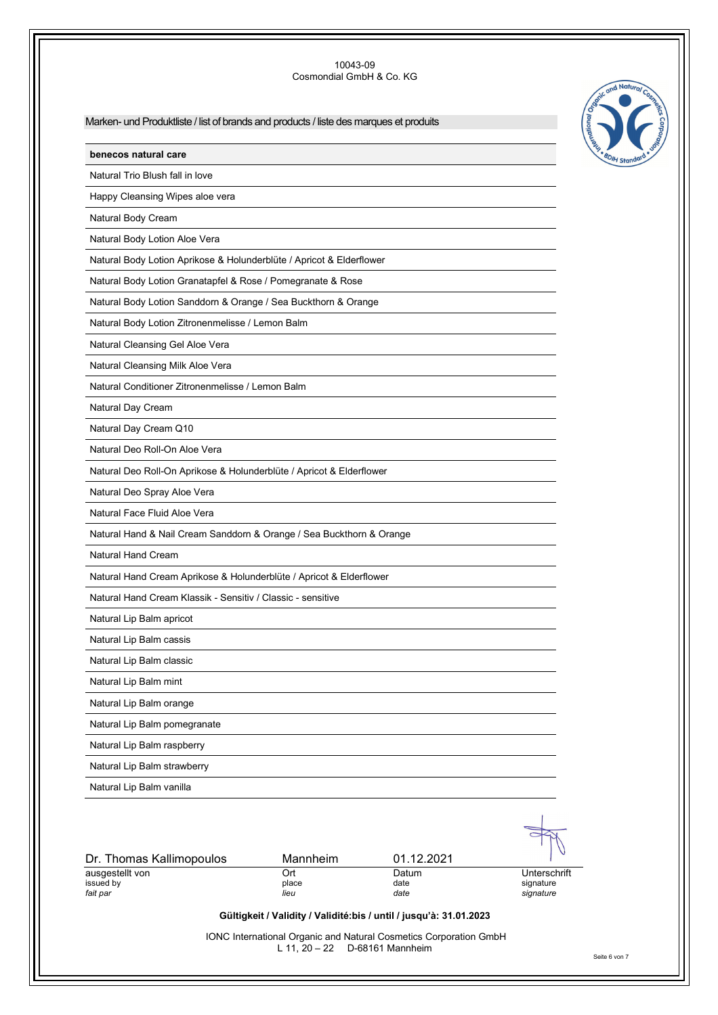## Marken- und Produktliste / list of brands and products / liste des marques et produits



**benecos natural care**

Natural Trio Blush fall in love

Happy Cleansing Wipes aloe vera

Natural Body Cream

Natural Body Lotion Aloe Vera

Natural Body Lotion Aprikose & Holunderblüte / Apricot & Elderflower

Natural Body Lotion Granatapfel & Rose / Pomegranate & Rose

Natural Body Lotion Sanddorn & Orange / Sea Buckthorn & Orange

Natural Body Lotion Zitronenmelisse / Lemon Balm

Natural Cleansing Gel Aloe Vera

Natural Cleansing Milk Aloe Vera

Natural Conditioner Zitronenmelisse / Lemon Balm

Natural Day Cream

Natural Day Cream Q10

Natural Deo Roll-On Aloe Vera

Natural Deo Roll-On Aprikose & Holunderblüte / Apricot & Elderflower

Natural Deo Spray Aloe Vera

Natural Face Fluid Aloe Vera

Natural Hand & Nail Cream Sanddorn & Orange / Sea Buckthorn & Orange

Natural Hand Cream

Natural Hand Cream Aprikose & Holunderblüte / Apricot & Elderflower

Natural Hand Cream Klassik - Sensitiv / Classic - sensitive

Natural Lip Balm apricot

Natural Lip Balm cassis

Natural Lip Balm classic

Natural Lip Balm mint

Natural Lip Balm orange

Natural Lip Balm pomegranate

Natural Lip Balm raspberry

Natural Lip Balm strawberry

Natural Lip Balm vanilla

| Dr. Thomas Kallimopoulos | Mannheim | 01.12.2021                                                          |              |
|--------------------------|----------|---------------------------------------------------------------------|--------------|
| ausgestellt von          | Ort      | Datum                                                               | Unterschrift |
| issued by                | place    | date                                                                | signature    |
| fait par                 | lieu     | date                                                                | signature    |
|                          |          | Gültigkeit / Validity / Validité: bis / until / jusqu'à: 31.01.2023 |              |